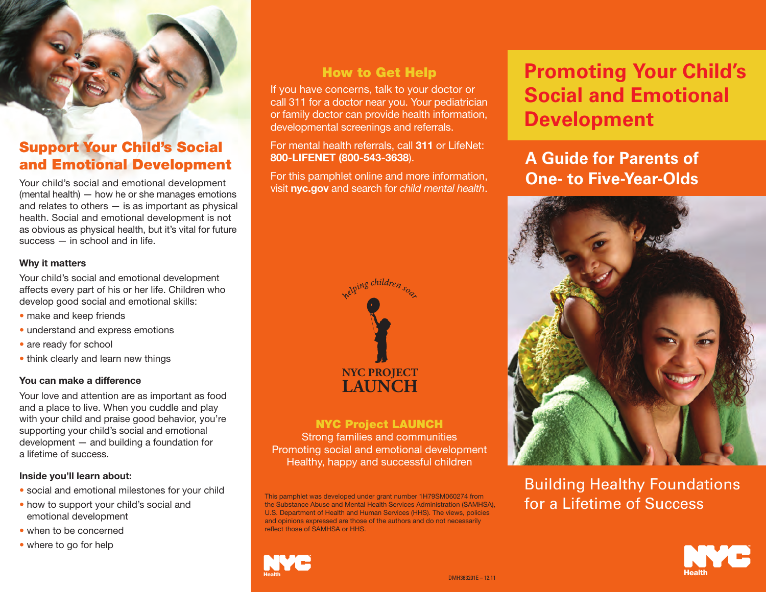## **Support Your Child's Social and Emotional Development**

Your child's social and emotional development (mental health) — how he or she manages emotions and relates to others  $-$  is as important as physical health. Social and emotional development is not as obvious as physical health, but it's vital for future success — in school and in life.

#### **Why it matters**

Your child's social and emotional development affects every part of his or her life. Children who develop good social and emotional skills:

- make and keep friends
- understand and express emotions
- are ready for school
- think clearly and learn new things

## **You can make a difference**

Your love and attention are as important as food and a place to live. When you cuddle and play with your child and praise good behavior, you're supporting your child's social and emotional development — and building a foundation for a lifetime of success.

#### **Inside you'll learn about:**

- social and emotional milestones for your child
- how to support your child's social and emotional development
- when to be concerned
- where to go for help

## **How to Get Help**

If you have concerns, talk to your doctor or call 311 for a doctor near you. Your pediatrician or family doctor can provide health information, developmental screenings and referrals.

For mental health referrals, call **311** or LifeNet: **800-LIFENET (800-543-3638**).

For this pamphlet online and more information, visit **nyc.gov** and search for *child mental health*.



### **NYC Project LAUNCH** Strong families and communities

Promoting social and emotional development Healthy, happy and successful children

This pamphlet was developed under grant number 1H79SM060274 from the Substance Abuse and Mental Health Services Administration (SAMHSA), U.S. Department of Health and Human Services (HHS). The views, policies and opinions expressed are those of the authors and do not necessarily reflect those of SAMHSA or HHS.



# **Promoting Your Child's Social and Emotional Development**

# **A Guide for Parents of One- to Five-Year-Olds**



Building Healthy Foundations for a Lifetime of Success